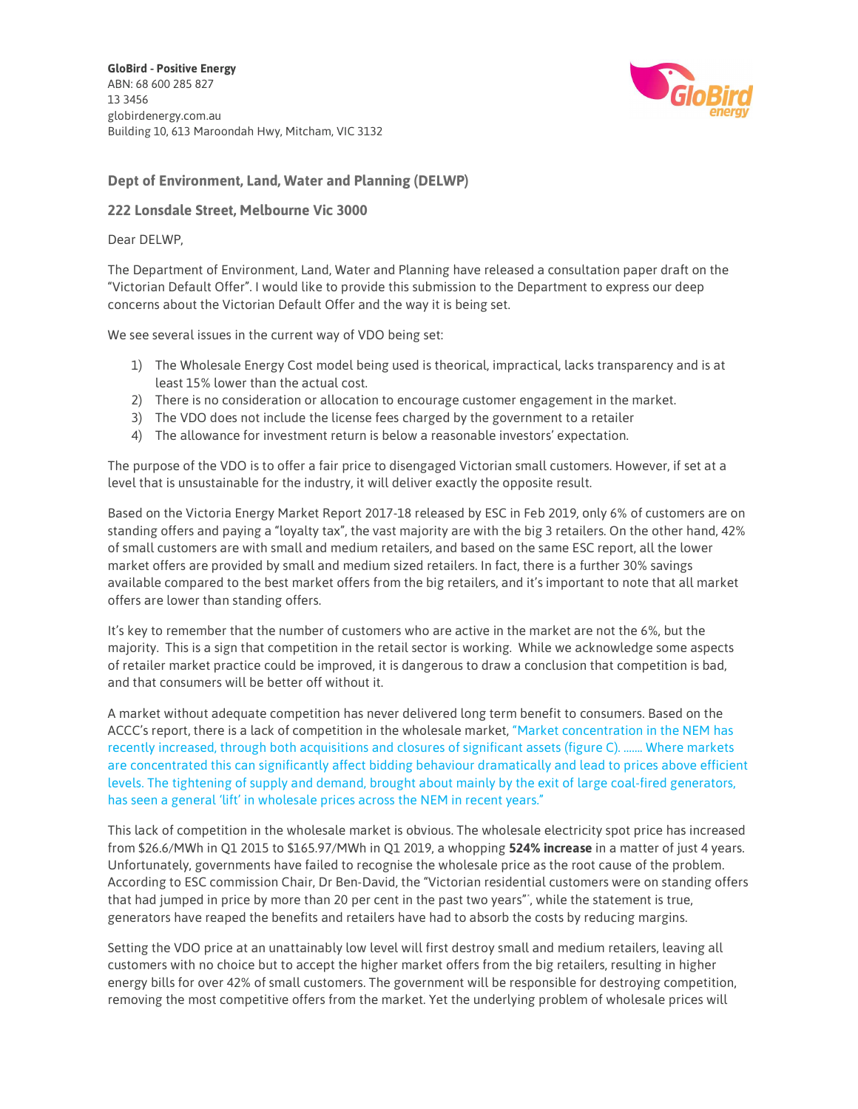GloBird - Positive Energy ABN: 68 600 285 827 13 3456 globirdenergy.com.au Building 10, 613 Maroondah Hwy, Mitcham, VIC 3132



## Dept of Environment, Land, Water and Planning (DELWP)

## 222 Lonsdale Street, Melbourne Vic 3000

## Dear DELWP,

The Department of Environment, Land, Water and Planning have released a consultation paper draft on the "Victorian Default Offer". I would like to provide this submission to the Department to express our deep concerns about the Victorian Default Offer and the way it is being set.

We see several issues in the current way of VDO being set:

- 1) The Wholesale Energy Cost model being used is theorical, impractical, lacks transparency and is at least 15% lower than the actual cost.
- 2) There is no consideration or allocation to encourage customer engagement in the market.
- 3) The VDO does not include the license fees charged by the government to a retailer
- 4) The allowance for investment return is below a reasonable investors' expectation.

The purpose of the VDO is to offer a fair price to disengaged Victorian small customers. However, if set at a level that is unsustainable for the industry, it will deliver exactly the opposite result.

Based on the Victoria Energy Market Report 2017-18 released by ESC in Feb 2019, only 6% of customers are on standing offers and paying a "loyalty tax", the vast majority are with the big 3 retailers. On the other hand, 42% of small customers are with small and medium retailers, and based on the same ESC report, all the lower market offers are provided by small and medium sized retailers. In fact, there is a further 30% savings available compared to the best market offers from the big retailers, and it's important to note that all market offers are lower than standing offers.

It's key to remember that the number of customers who are active in the market are not the 6%, but the majority. This is a sign that competition in the retail sector is working. While we acknowledge some aspects of retailer market practice could be improved, it is dangerous to draw a conclusion that competition is bad, and that consumers will be better off without it.

A market without adequate competition has never delivered long term benefit to consumers. Based on the ACCC's report, there is a lack of competition in the wholesale market, "Market concentration in the NEM has recently increased, through both acquisitions and closures of significant assets (figure C). ……. Where markets are concentrated this can significantly affect bidding behaviour dramatically and lead to prices above efficient levels. The tightening of supply and demand, brought about mainly by the exit of large coal-fired generators, has seen a general 'lift' in wholesale prices across the NEM in recent years."

This lack of competition in the wholesale market is obvious. The wholesale electricity spot price has increased from \$26.6/MWh in Q1 2015 to \$165.97/MWh in Q1 2019, a whopping 524% increase in a matter of just 4 years. Unfortunately, governments have failed to recognise the wholesale price as the root cause of the problem. According to ESC commission Chair, Dr Ben-David, the "Victorian residential customers were on standing offers that had jumped in price by more than 20 per cent in the past two years"\* , while the statement is true, generators have reaped the benefits and retailers have had to absorb the costs by reducing margins.

Setting the VDO price at an unattainably low level will first destroy small and medium retailers, leaving all customers with no choice but to accept the higher market offers from the big retailers, resulting in higher energy bills for over 42% of small customers. The government will be responsible for destroying competition, removing the most competitive offers from the market. Yet the underlying problem of wholesale prices will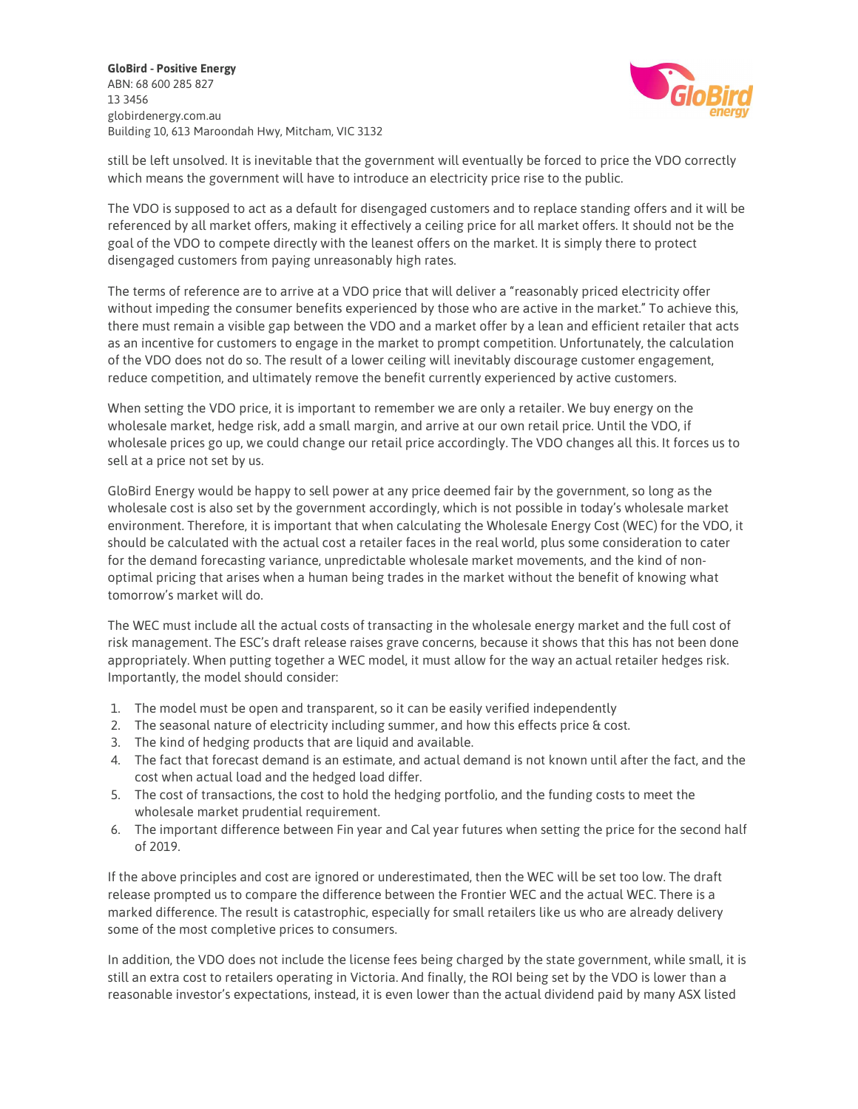GloBird - Positive Energy ABN: 68 600 285 827 13 3456 globirdenergy.com.au Building 10, 613 Maroondah Hwy, Mitcham, VIC 3132



still be left unsolved. It is inevitable that the government will eventually be forced to price the VDO correctly which means the government will have to introduce an electricity price rise to the public.

The VDO is supposed to act as a default for disengaged customers and to replace standing offers and it will be referenced by all market offers, making it effectively a ceiling price for all market offers. It should not be the goal of the VDO to compete directly with the leanest offers on the market. It is simply there to protect disengaged customers from paying unreasonably high rates.

The terms of reference are to arrive at a VDO price that will deliver a "reasonably priced electricity offer without impeding the consumer benefits experienced by those who are active in the market." To achieve this, there must remain a visible gap between the VDO and a market offer by a lean and efficient retailer that acts as an incentive for customers to engage in the market to prompt competition. Unfortunately, the calculation of the VDO does not do so. The result of a lower ceiling will inevitably discourage customer engagement, reduce competition, and ultimately remove the benefit currently experienced by active customers.

When setting the VDO price, it is important to remember we are only a retailer. We buy energy on the wholesale market, hedge risk, add a small margin, and arrive at our own retail price. Until the VDO, if wholesale prices go up, we could change our retail price accordingly. The VDO changes all this. It forces us to sell at a price not set by us.

GloBird Energy would be happy to sell power at any price deemed fair by the government, so long as the wholesale cost is also set by the government accordingly, which is not possible in today's wholesale market environment. Therefore, it is important that when calculating the Wholesale Energy Cost (WEC) for the VDO, it should be calculated with the actual cost a retailer faces in the real world, plus some consideration to cater for the demand forecasting variance, unpredictable wholesale market movements, and the kind of nonoptimal pricing that arises when a human being trades in the market without the benefit of knowing what tomorrow's market will do.

The WEC must include all the actual costs of transacting in the wholesale energy market and the full cost of risk management. The ESC's draft release raises grave concerns, because it shows that this has not been done appropriately. When putting together a WEC model, it must allow for the way an actual retailer hedges risk. Importantly, the model should consider:

- 1. The model must be open and transparent, so it can be easily verified independently
- 2. The seasonal nature of electricity including summer, and how this effects price & cost.
- 3. The kind of hedging products that are liquid and available.
- 4. The fact that forecast demand is an estimate, and actual demand is not known until after the fact, and the cost when actual load and the hedged load differ.
- 5. The cost of transactions, the cost to hold the hedging portfolio, and the funding costs to meet the wholesale market prudential requirement.
- 6. The important difference between Fin year and Cal year futures when setting the price for the second half of 2019.

If the above principles and cost are ignored or underestimated, then the WEC will be set too low. The draft release prompted us to compare the difference between the Frontier WEC and the actual WEC. There is a marked difference. The result is catastrophic, especially for small retailers like us who are already delivery some of the most completive prices to consumers.

In addition, the VDO does not include the license fees being charged by the state government, while small, it is still an extra cost to retailers operating in Victoria. And finally, the ROI being set by the VDO is lower than a reasonable investor's expectations, instead, it is even lower than the actual dividend paid by many ASX listed